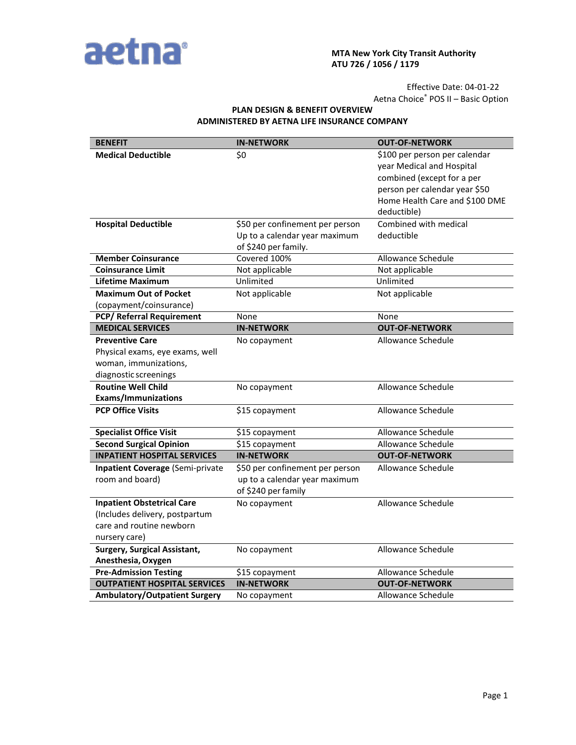

## **MTA New York City Transit Authority ATU 726 / 1056 / 1179**

Effective Date: 04-01-22 Aetna Choice® POS II – Basic Option

## **PLAN DESIGN & BENEFIT OVERVIEW ADMINISTERED BY AETNA LIFE INSURANCE COMPANY**

| <b>BENEFIT</b>                          | <b>IN-NETWORK</b>               | <b>OUT-OF-NETWORK</b>          |
|-----------------------------------------|---------------------------------|--------------------------------|
| <b>Medical Deductible</b>               | \$0                             | \$100 per person per calendar  |
|                                         |                                 | year Medical and Hospital      |
|                                         |                                 | combined (except for a per     |
|                                         |                                 | person per calendar year \$50  |
|                                         |                                 | Home Health Care and \$100 DME |
|                                         |                                 | deductible)                    |
| <b>Hospital Deductible</b>              | \$50 per confinement per person | Combined with medical          |
|                                         | Up to a calendar year maximum   | deductible                     |
|                                         | of \$240 per family.            |                                |
| <b>Member Coinsurance</b>               | Covered 100%                    | <b>Allowance Schedule</b>      |
| <b>Coinsurance Limit</b>                | Not applicable                  | Not applicable                 |
| Lifetime Maximum                        | Unlimited                       | Unlimited                      |
| <b>Maximum Out of Pocket</b>            | Not applicable                  | Not applicable                 |
| (copayment/coinsurance)                 |                                 |                                |
| <b>PCP/ Referral Requirement</b>        | None                            | None                           |
| <b>MEDICAL SERVICES</b>                 | <b>IN-NETWORK</b>               | <b>OUT-OF-NETWORK</b>          |
| <b>Preventive Care</b>                  | No copayment                    | Allowance Schedule             |
| Physical exams, eye exams, well         |                                 |                                |
| woman, immunizations,                   |                                 |                                |
| diagnostic screenings                   |                                 |                                |
| <b>Routine Well Child</b>               | No copayment                    | <b>Allowance Schedule</b>      |
| <b>Exams/Immunizations</b>              |                                 |                                |
| <b>PCP Office Visits</b>                | \$15 copayment                  | Allowance Schedule             |
|                                         |                                 |                                |
| <b>Specialist Office Visit</b>          | \$15 copayment                  | Allowance Schedule             |
| <b>Second Surgical Opinion</b>          | \$15 copayment                  | Allowance Schedule             |
| <b>INPATIENT HOSPITAL SERVICES</b>      | <b>IN-NETWORK</b>               | <b>OUT-OF-NETWORK</b>          |
| <b>Inpatient Coverage (Semi-private</b> | \$50 per confinement per person | Allowance Schedule             |
| room and board)                         | up to a calendar year maximum   |                                |
|                                         | of \$240 per family             |                                |
| <b>Inpatient Obstetrical Care</b>       | No copayment                    | Allowance Schedule             |
| (Includes delivery, postpartum          |                                 |                                |
| care and routine newborn                |                                 |                                |
| nursery care)                           |                                 |                                |
| <b>Surgery, Surgical Assistant,</b>     | No copayment                    | Allowance Schedule             |
| Anesthesia, Oxygen                      |                                 |                                |
| <b>Pre-Admission Testing</b>            | \$15 copayment                  | Allowance Schedule             |
| <b>OUTPATIENT HOSPITAL SERVICES</b>     | <b>IN-NETWORK</b>               | <b>OUT-OF-NETWORK</b>          |
| <b>Ambulatory/Outpatient Surgery</b>    | No copayment                    | Allowance Schedule             |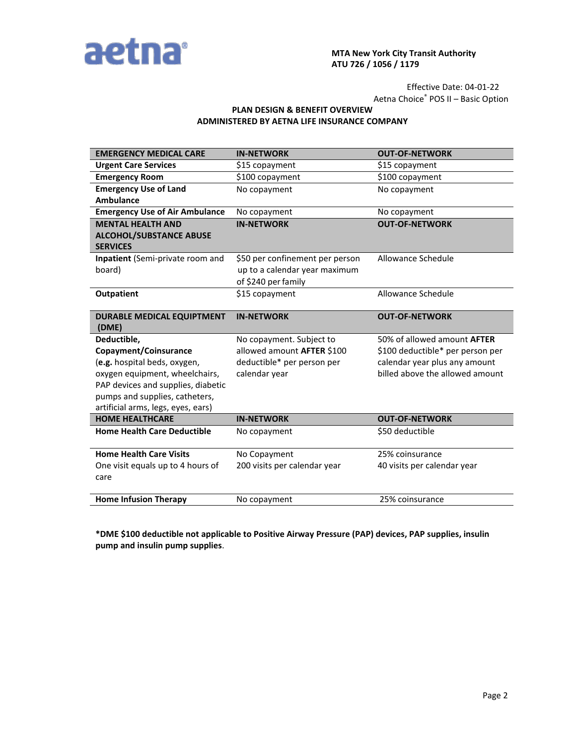

# **MTA New York City Transit Authority ATU 726 / 1056 / 1179**

Effective Date: 04-01-22 Aetna Choice® POS II – Basic Option

# **PLAN DESIGN & BENEFIT OVERVIEW ADMINISTERED BY AETNA LIFE INSURANCE COMPANY**

| <b>EMERGENCY MEDICAL CARE</b>                                        | <b>IN-NETWORK</b>               | <b>OUT-OF-NETWORK</b>              |
|----------------------------------------------------------------------|---------------------------------|------------------------------------|
| <b>Urgent Care Services</b>                                          | \$15 copayment                  | \$15 copayment                     |
| <b>Emergency Room</b>                                                | \$100 copayment                 | \$100 copayment                    |
| <b>Emergency Use of Land</b>                                         | No copayment                    | No copayment                       |
| <b>Ambulance</b>                                                     |                                 |                                    |
| <b>Emergency Use of Air Ambulance</b>                                | No copayment                    | No copayment                       |
| <b>MENTAL HEALTH AND</b>                                             | <b>IN-NETWORK</b>               | <b>OUT-OF-NETWORK</b>              |
| <b>ALCOHOL/SUBSTANCE ABUSE</b><br><b>SERVICES</b>                    |                                 |                                    |
| Inpatient (Semi-private room and                                     | \$50 per confinement per person | Allowance Schedule                 |
| board)                                                               | up to a calendar year maximum   |                                    |
|                                                                      | of \$240 per family             |                                    |
| Outpatient                                                           | \$15 copayment                  | Allowance Schedule                 |
| <b>DURABLE MEDICAL EQUIPTMENT</b><br>(DME)                           | <b>IN-NETWORK</b>               | <b>OUT-OF-NETWORK</b>              |
| Deductible,                                                          | No copayment. Subject to        | 50% of allowed amount <b>AFTER</b> |
| Copayment/Coinsurance                                                | allowed amount AFTER \$100      | \$100 deductible* per person per   |
| (e.g. hospital beds, oxygen,                                         | deductible* per person per      | calendar year plus any amount      |
| oxygen equipment, wheelchairs,                                       | calendar year                   | billed above the allowed amount    |
| PAP devices and supplies, diabetic                                   |                                 |                                    |
| pumps and supplies, catheters,<br>artificial arms, legs, eyes, ears) |                                 |                                    |
| <b>HOME HEALTHCARE</b>                                               | <b>IN-NETWORK</b>               | <b>OUT-OF-NETWORK</b>              |
| <b>Home Health Care Deductible</b>                                   | No copayment                    | \$50 deductible                    |
|                                                                      |                                 |                                    |
| <b>Home Health Care Visits</b>                                       | No Copayment                    | 25% coinsurance                    |
| One visit equals up to 4 hours of                                    | 200 visits per calendar year    | 40 visits per calendar year        |
| care                                                                 |                                 |                                    |
| <b>Home Infusion Therapy</b>                                         | No copayment                    | 25% coinsurance                    |
|                                                                      |                                 |                                    |

**\*DME \$100 deductible not applicable to Positive Airway Pressure (PAP) devices, PAP supplies, insulin pump and insulin pump supplies**.